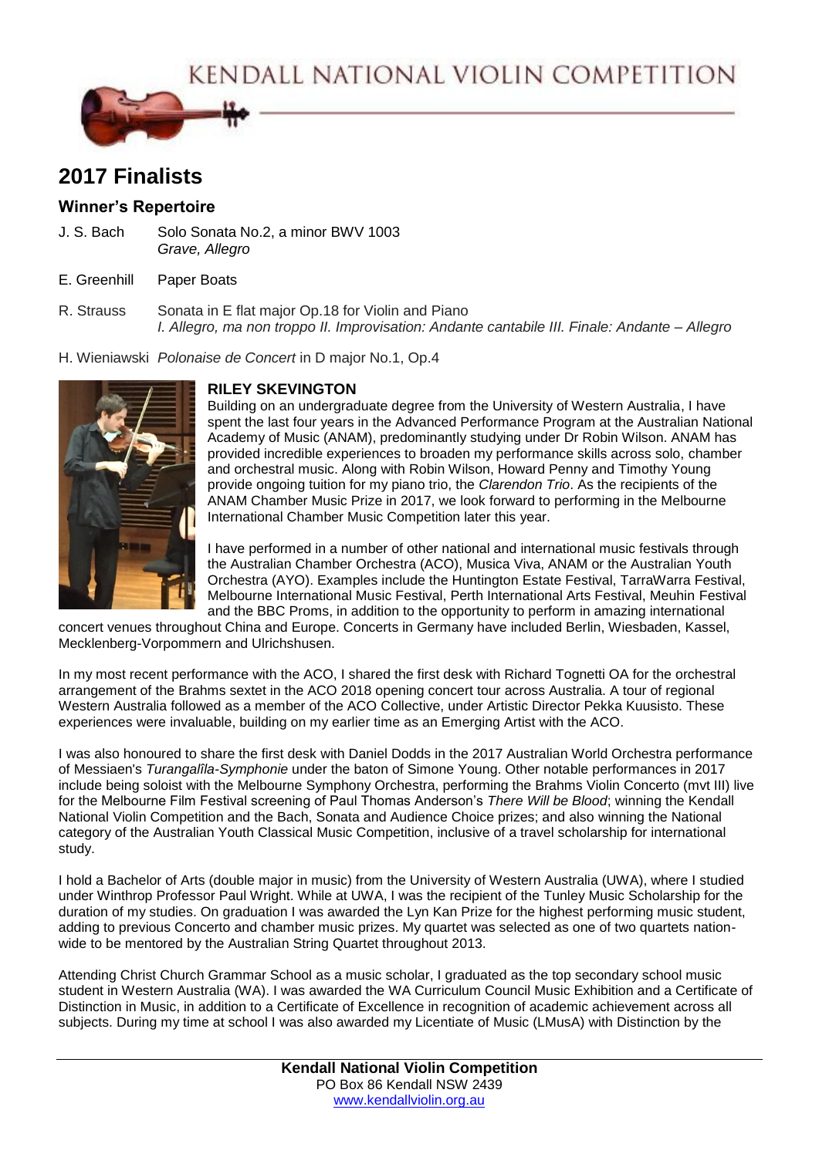KENDALL NATIONAL VIOLIN COMPETITION



# **2017 Finalists**

# **Winner's Repertoire**

- J. S. Bach Solo Sonata No.2, a minor BWV 1003 *Grave, Allegro*
- E. Greenhill Paper Boats
- R. Strauss Sonata in E flat major Op.18 for Violin and Piano *I. Allegro, ma non troppo II. Improvisation: Andante cantabile III. Finale: Andante – Allegro*
- H. Wieniawski *Polonaise de Concert* in D major No.1, Op.4



# **RILEY SKEVINGTON**

Building on an undergraduate degree from the University of Western Australia, I have spent the last four years in the Advanced Performance Program at the Australian National Academy of Music (ANAM), predominantly studying under Dr Robin Wilson. ANAM has provided incredible experiences to broaden my performance skills across solo, chamber and orchestral music. Along with Robin Wilson, Howard Penny and Timothy Young provide ongoing tuition for my piano trio, the *Clarendon Trio*. As the recipients of the ANAM Chamber Music Prize in 2017, we look forward to performing in the Melbourne International Chamber Music Competition later this year.

I have performed in a number of other national and international music festivals through the Australian Chamber Orchestra (ACO), Musica Viva, ANAM or the Australian Youth Orchestra (AYO). Examples include the Huntington Estate Festival, TarraWarra Festival, Melbourne International Music Festival, Perth International Arts Festival, Meuhin Festival and the BBC Proms, in addition to the opportunity to perform in amazing international

concert venues throughout China and Europe. Concerts in Germany have included Berlin, Wiesbaden, Kassel, Mecklenberg-Vorpommern and Ulrichshusen.

In my most recent performance with the ACO, I shared the first desk with Richard Tognetti OA for the orchestral arrangement of the Brahms sextet in the ACO 2018 opening concert tour across Australia. A tour of regional Western Australia followed as a member of the ACO Collective, under Artistic Director Pekka Kuusisto. These experiences were invaluable, building on my earlier time as an Emerging Artist with the ACO.

I was also honoured to share the first desk with Daniel Dodds in the 2017 Australian World Orchestra performance of Messiaen's *Turangalîla-Symphonie* under the baton of Simone Young. Other notable performances in 2017 include being soloist with the Melbourne Symphony Orchestra, performing the Brahms Violin Concerto (mvt III) live for the Melbourne Film Festival screening of Paul Thomas Anderson's *There Will be Blood*; winning the Kendall National Violin Competition and the Bach, Sonata and Audience Choice prizes; and also winning the National category of the Australian Youth Classical Music Competition, inclusive of a travel scholarship for international study.

I hold a Bachelor of Arts (double major in music) from the University of Western Australia (UWA), where I studied under Winthrop Professor Paul Wright. While at UWA, I was the recipient of the Tunley Music Scholarship for the duration of my studies. On graduation I was awarded the Lyn Kan Prize for the highest performing music student, adding to previous Concerto and chamber music prizes. My quartet was selected as one of two quartets nationwide to be mentored by the Australian String Quartet throughout 2013.

Attending Christ Church Grammar School as a music scholar, I graduated as the top secondary school music student in Western Australia (WA). I was awarded the WA Curriculum Council Music Exhibition and a Certificate of Distinction in Music, in addition to a Certificate of Excellence in recognition of academic achievement across all subjects. During my time at school I was also awarded my Licentiate of Music (LMusA) with Distinction by the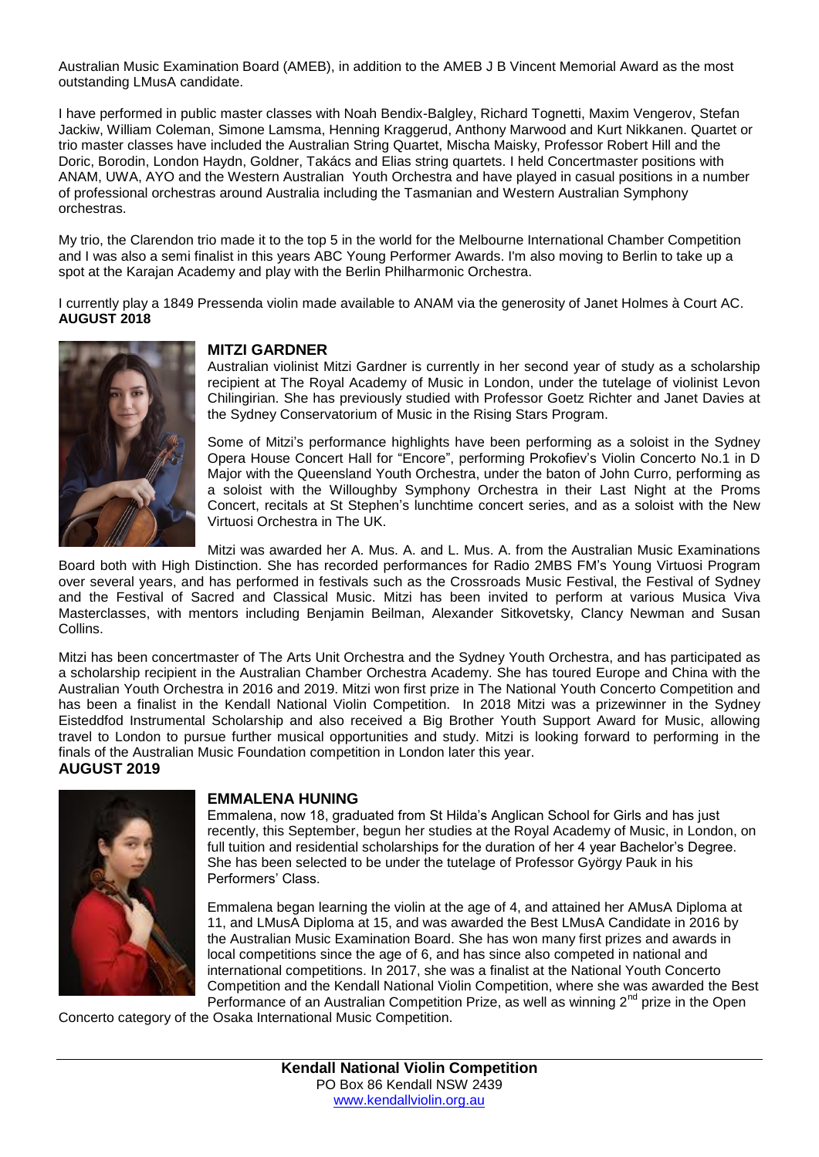Australian Music Examination Board (AMEB), in addition to the AMEB J B Vincent Memorial Award as the most outstanding LMusA candidate.

I have performed in public master classes with Noah Bendix-Balgley, Richard Tognetti, Maxim Vengerov, Stefan Jackiw, William Coleman, Simone Lamsma, Henning Kraggerud, Anthony Marwood and Kurt Nikkanen. Quartet or trio master classes have included the Australian String Quartet, Mischa Maisky, Professor Robert Hill and the Doric, Borodin, London Haydn, Goldner, Takács and Elias string quartets. I held Concertmaster positions with ANAM, UWA, AYO and the Western Australian Youth Orchestra and have played in casual positions in a number of professional orchestras around Australia including the Tasmanian and Western Australian Symphony orchestras.

My trio, the Clarendon trio made it to the top 5 in the world for the Melbourne International Chamber Competition and I was also a semi finalist in this years ABC Young Performer Awards. I'm also moving to Berlin to take up a spot at the Karajan Academy and play with the Berlin Philharmonic Orchestra.

I currently play a 1849 Pressenda violin made available to ANAM via the generosity of Janet Holmes à Court AC. **AUGUST 2018**



#### **MITZI GARDNER**

Australian violinist Mitzi Gardner is currently in her second year of study as a scholarship recipient at The Royal Academy of Music in London, under the tutelage of violinist Levon Chilingirian. She has previously studied with Professor Goetz Richter and Janet Davies at the Sydney Conservatorium of Music in the Rising Stars Program.

Some of Mitzi's performance highlights have been performing as a soloist in the Sydney Opera House Concert Hall for "Encore", performing Prokofiev's Violin Concerto No.1 in D Major with the Queensland Youth Orchestra, under the baton of John Curro, performing as a soloist with the Willoughby Symphony Orchestra in their Last Night at the Proms Concert, recitals at St Stephen's lunchtime concert series, and as a soloist with the New Virtuosi Orchestra in The UK.

Mitzi was awarded her A. Mus. A. and L. Mus. A. from the Australian Music Examinations

Board both with High Distinction. She has recorded performances for Radio 2MBS FM's Young Virtuosi Program over several years, and has performed in festivals such as the Crossroads Music Festival, the Festival of Sydney and the Festival of Sacred and Classical Music. Mitzi has been invited to perform at various Musica Viva Masterclasses, with mentors including Benjamin Beilman, Alexander Sitkovetsky, Clancy Newman and Susan Collins.

Mitzi has been concertmaster of The Arts Unit Orchestra and the Sydney Youth Orchestra, and has participated as a scholarship recipient in the Australian Chamber Orchestra Academy. She has toured Europe and China with the Australian Youth Orchestra in 2016 and 2019. Mitzi won first prize in The National Youth Concerto Competition and has been a finalist in the Kendall National Violin Competition. In 2018 Mitzi was a prizewinner in the Sydney Eisteddfod Instrumental Scholarship and also received a Big Brother Youth Support Award for Music, allowing travel to London to pursue further musical opportunities and study. Mitzi is looking forward to performing in the finals of the Australian Music Foundation competition in London later this year.

## **AUGUST 2019**



#### **EMMALENA HUNING**

Emmalena, now 18, graduated from St Hilda's Anglican School for Girls and has just recently, this September, begun her studies at the Royal Academy of Music, in London, on full tuition and residential scholarships for the duration of her 4 year Bachelor's Degree. She has been selected to be under the tutelage of Professor György Pauk in his Performers' Class.

Emmalena began learning the violin at the age of 4, and attained her AMusA Diploma at 11, and LMusA Diploma at 15, and was awarded the Best LMusA Candidate in 2016 by the Australian Music Examination Board. She has won many first prizes and awards in local competitions since the age of 6, and has since also competed in national and international competitions. In 2017, she was a finalist at the National Youth Concerto Competition and the Kendall National Violin Competition, where she was awarded the Best Performance of an Australian Competition Prize, as well as winning  $2^{nd}$  prize in the Open

Concerto category of the Osaka International Music Competition.